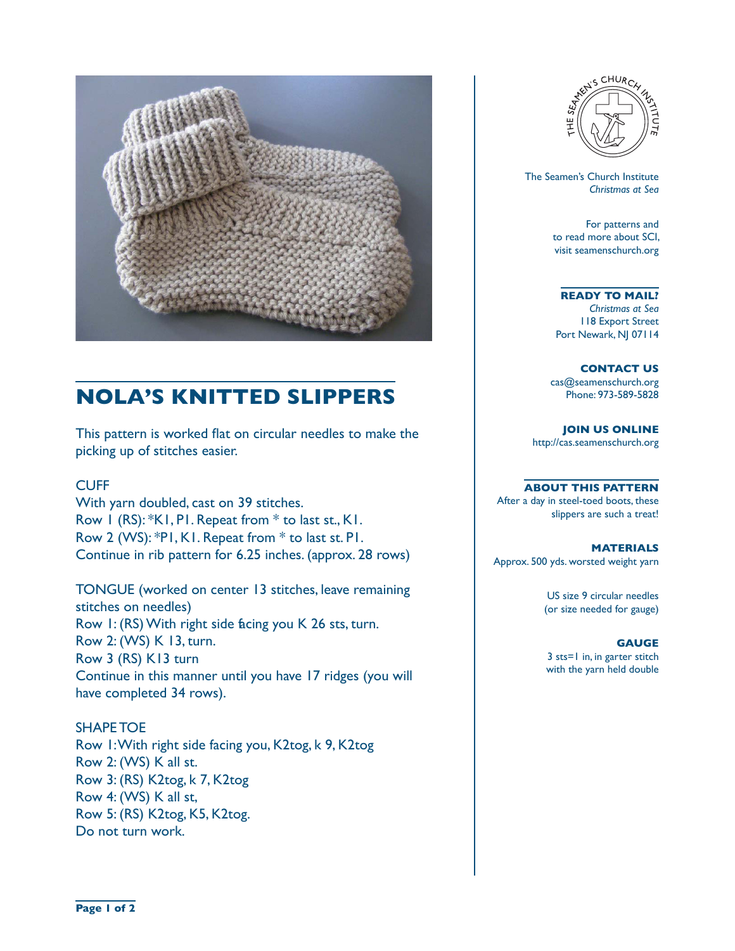

# **NOLA'S KNITTED SLIPPERS**

This pattern is worked flat on circular needles to make the picking up of stitches easier.

## **CUFF**

With yarn doubled, cast on 39 stitches. Row 1 (RS): \*K1, P1. Repeat from \* to last st., K1. Row 2 (WS): \*P1, K1. Repeat from \* to last st. P1. Continue in rib pattern for 6.25 inches. (approx. 28 rows)

TONGUE (worked on center 13 stitches, leave remaining stitches on needles) Row 1: (RS) With right side facing you K 26 sts, turn. Row 2: (WS) K 13, turn. Row 3 (RS) K13 turn Continue in this manner until you have 17 ridges (you will have completed 34 rows).

SHAPE TOE Row 1: With right side facing you, K2tog, k 9, K2tog Row 2: (WS) K all st. Row 3: (RS) K2tog, k 7, K2tog Row 4: (WS) K all st, Row 5: (RS) K2tog, K5, K2tog. Do not turn work.



 The Seamen's Church Institute *Christmas at Sea*

> For patterns and to read more about SCI, visit seamenschurch.org

#### **READY TO MAIL?**

*Christmas at Sea* 118 Export Street Port Newark, NJ 07114

**CONTACT US** cas@seamenschurch.org Phone: 973-589-5828

**JOIN US ONLINE**  http://cas.seamenschurch.org

### **ABOUT THIS PATTERN**

After a day in steel-toed boots, these slippers are such a treat!

**MATERIALS** Approx. 500 yds. worsted weight yarn

> US size 9 circular needles (or size needed for gauge)

### **GAUGE**

3 sts=1 in, in garter stitch with the yarn held double